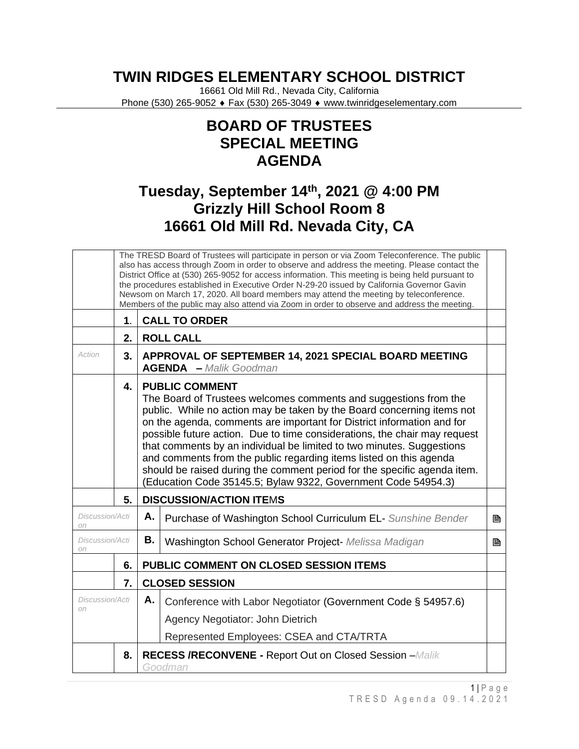## **TWIN RIDGES ELEMENTARY SCHOOL DISTRICT**

16661 Old Mill Rd., Nevada City, California Phone (530) 265-9052 ♦ Fax (530) 265-3049 ♦ www.twinridgeselementary.com

## **BOARD OF TRUSTEES SPECIAL MEETING AGENDA**

## **Tuesday, September 14th, 2021 @ 4:00 PM Grizzly Hill School Room 8 16661 Old Mill Rd. Nevada City, CA**

|                       |                                                                                  | The TRESD Board of Trustees will participate in person or via Zoom Teleconference. The public<br>also has access through Zoom in order to observe and address the meeting. Please contact the<br>District Office at (530) 265-9052 for access information. This meeting is being held pursuant to                                                                                                                                                                                                                                                                                                                      |                                                              |   |  |  |
|-----------------------|----------------------------------------------------------------------------------|------------------------------------------------------------------------------------------------------------------------------------------------------------------------------------------------------------------------------------------------------------------------------------------------------------------------------------------------------------------------------------------------------------------------------------------------------------------------------------------------------------------------------------------------------------------------------------------------------------------------|--------------------------------------------------------------|---|--|--|
|                       |                                                                                  | the procedures established in Executive Order N-29-20 issued by California Governor Gavin                                                                                                                                                                                                                                                                                                                                                                                                                                                                                                                              |                                                              |   |  |  |
|                       |                                                                                  | Newsom on March 17, 2020. All board members may attend the meeting by teleconference.<br>Members of the public may also attend via Zoom in order to observe and address the meeting.                                                                                                                                                                                                                                                                                                                                                                                                                                   |                                                              |   |  |  |
|                       | 1.                                                                               | <b>CALL TO ORDER</b>                                                                                                                                                                                                                                                                                                                                                                                                                                                                                                                                                                                                   |                                                              |   |  |  |
|                       | 2.                                                                               | <b>ROLL CALL</b>                                                                                                                                                                                                                                                                                                                                                                                                                                                                                                                                                                                                       |                                                              |   |  |  |
| Action                | 3.                                                                               | APPROVAL OF SEPTEMBER 14, 2021 SPECIAL BOARD MEETING<br><b>AGENDA</b> - Malik Goodman                                                                                                                                                                                                                                                                                                                                                                                                                                                                                                                                  |                                                              |   |  |  |
|                       | 4.                                                                               | <b>PUBLIC COMMENT</b><br>The Board of Trustees welcomes comments and suggestions from the<br>public. While no action may be taken by the Board concerning items not<br>on the agenda, comments are important for District information and for<br>possible future action. Due to time considerations, the chair may request<br>that comments by an individual be limited to two minutes. Suggestions<br>and comments from the public regarding items listed on this agenda<br>should be raised during the comment period for the specific agenda item.<br>(Education Code 35145.5; Bylaw 9322, Government Code 54954.3) |                                                              |   |  |  |
|                       | 5.                                                                               | <b>DISCUSSION/ACTION ITEMS</b>                                                                                                                                                                                                                                                                                                                                                                                                                                                                                                                                                                                         |                                                              |   |  |  |
| Discussion/Acti<br>on |                                                                                  | Α.                                                                                                                                                                                                                                                                                                                                                                                                                                                                                                                                                                                                                     | Purchase of Washington School Curriculum EL- Sunshine Bender | B |  |  |
| Discussion/Acti<br>on |                                                                                  | В.                                                                                                                                                                                                                                                                                                                                                                                                                                                                                                                                                                                                                     | Washington School Generator Project- Melissa Madigan         | 昏 |  |  |
|                       | 6.                                                                               | PUBLIC COMMENT ON CLOSED SESSION ITEMS                                                                                                                                                                                                                                                                                                                                                                                                                                                                                                                                                                                 |                                                              |   |  |  |
|                       | 7.                                                                               | <b>CLOSED SESSION</b>                                                                                                                                                                                                                                                                                                                                                                                                                                                                                                                                                                                                  |                                                              |   |  |  |
| Discussion/Acti<br>on |                                                                                  | A. I                                                                                                                                                                                                                                                                                                                                                                                                                                                                                                                                                                                                                   | Conference with Labor Negotiator (Government Code § 54957.6) |   |  |  |
|                       |                                                                                  |                                                                                                                                                                                                                                                                                                                                                                                                                                                                                                                                                                                                                        | Agency Negotiator: John Dietrich                             |   |  |  |
|                       |                                                                                  |                                                                                                                                                                                                                                                                                                                                                                                                                                                                                                                                                                                                                        | Represented Employees: CSEA and CTA/TRTA                     |   |  |  |
|                       | <b>RECESS /RECONVENE - Report Out on Closed Session - Malik</b><br>8.<br>Goodman |                                                                                                                                                                                                                                                                                                                                                                                                                                                                                                                                                                                                                        |                                                              |   |  |  |